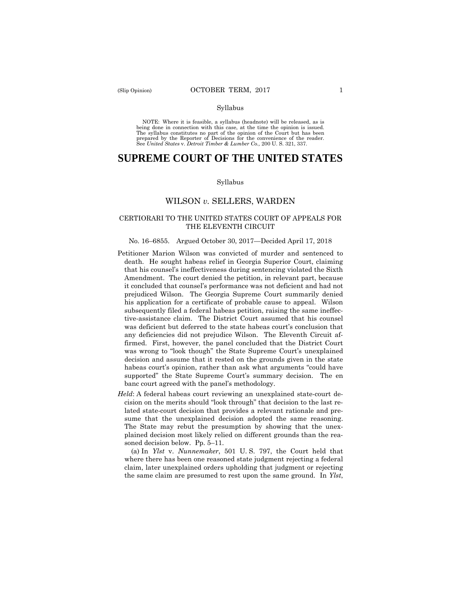#### Syllabus

NOTE: Where it is feasible, a syllabus (headnote) will be released, as is being done in connection with this case, at the time the opinion is issued. The syllabus constitutes no part of the opinion of the Court but has been<br>prepared by the Reporter of Decisions for the convenience of the reader.<br>See United States v. Detroit Timber & Lumber Co., 200 U.S. 321, 337.

# **SUPREME COURT OF THE UNITED STATES**

#### Syllabus

# WILSON *v.* SELLERS, WARDEN

### CERTIORARI TO THE UNITED STATES COURT OF APPEALS FOR THE ELEVENTH CIRCUIT

#### No. 16–6855. Argued October 30, 2017—Decided April 17, 2018

- Petitioner Marion Wilson was convicted of murder and sentenced to death. He sought habeas relief in Georgia Superior Court, claiming that his counsel's ineffectiveness during sentencing violated the Sixth Amendment. The court denied the petition, in relevant part, because it concluded that counsel's performance was not deficient and had not prejudiced Wilson. The Georgia Supreme Court summarily denied his application for a certificate of probable cause to appeal. Wilson subsequently filed a federal habeas petition, raising the same ineffective-assistance claim. The District Court assumed that his counsel was deficient but deferred to the state habeas court's conclusion that any deficiencies did not prejudice Wilson. The Eleventh Circuit affirmed. First, however, the panel concluded that the District Court was wrong to "look though" the State Supreme Court's unexplained decision and assume that it rested on the grounds given in the state habeas court's opinion, rather than ask what arguments "could have supported" the State Supreme Court's summary decision. The en banc court agreed with the panel's methodology.
- *Held*: A federal habeas court reviewing an unexplained state-court decision on the merits should "look through" that decision to the last related state-court decision that provides a relevant rationale and presume that the unexplained decision adopted the same reasoning. The State may rebut the presumption by showing that the unexplained decision most likely relied on different grounds than the reasoned decision below. Pp. 5–11.

(a) In *Ylst* v. *Nunnemaker*, 501 U. S. 797, the Court held that where there has been one reasoned state judgment rejecting a federal claim, later unexplained orders upholding that judgment or rejecting the same claim are presumed to rest upon the same ground. In *Ylst*,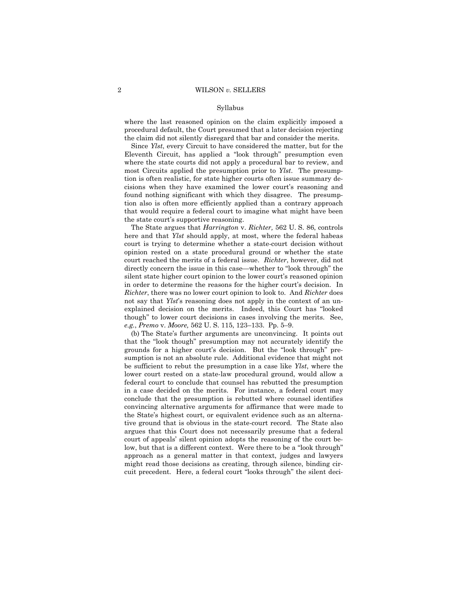#### Syllabus

where the last reasoned opinion on the claim explicitly imposed a procedural default, the Court presumed that a later decision rejecting the claim did not silently disregard that bar and consider the merits.

Since *Ylst*, every Circuit to have considered the matter, but for the Eleventh Circuit, has applied a "look through" presumption even where the state courts did not apply a procedural bar to review, and most Circuits applied the presumption prior to *Ylst*. The presumption is often realistic, for state higher courts often issue summary decisions when they have examined the lower court's reasoning and found nothing significant with which they disagree. The presumption also is often more efficiently applied than a contrary approach that would require a federal court to imagine what might have been the state court's supportive reasoning.

The State argues that *Harrington* v. *Richter,* 562 U. S. 86, controls here and that *Ylst* should apply, at most, where the federal habeas court is trying to determine whether a state-court decision without opinion rested on a state procedural ground or whether the state court reached the merits of a federal issue. *Richter*, however, did not directly concern the issue in this case—whether to "look through" the silent state higher court opinion to the lower court's reasoned opinion in order to determine the reasons for the higher court's decision. In *Richter*, there was no lower court opinion to look to. And *Richter* does not say that *Ylst*'s reasoning does not apply in the context of an unexplained decision on the merits. Indeed, this Court has "looked though" to lower court decisions in cases involving the merits. See, *e.g.*, *Premo* v. *Moore,* 562 U. S. 115, 123–133. Pp. 5–9.

(b) The State's further arguments are unconvincing. It points out that the "look though" presumption may not accurately identify the grounds for a higher court's decision. But the "look through" presumption is not an absolute rule. Additional evidence that might not be sufficient to rebut the presumption in a case like *Ylst*, where the lower court rested on a state-law procedural ground, would allow a federal court to conclude that counsel has rebutted the presumption in a case decided on the merits. For instance, a federal court may conclude that the presumption is rebutted where counsel identifies convincing alternative arguments for affirmance that were made to the State's highest court, or equivalent evidence such as an alternative ground that is obvious in the state-court record. The State also argues that this Court does not necessarily presume that a federal court of appeals' silent opinion adopts the reasoning of the court below, but that is a different context. Were there to be a "look through" approach as a general matter in that context, judges and lawyers might read those decisions as creating, through silence, binding circuit precedent. Here, a federal court "looks through" the silent deci-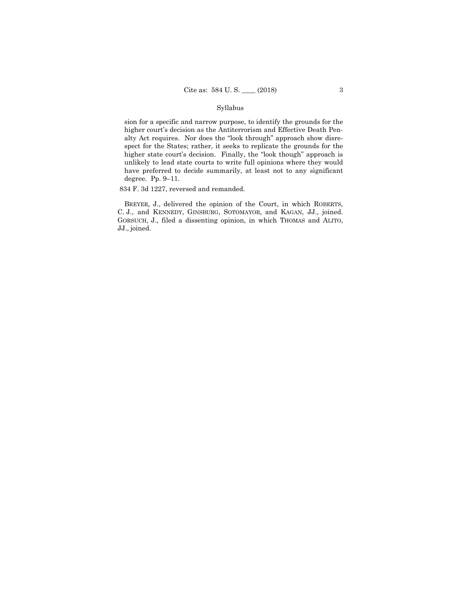### Syllabus

sion for a specific and narrow purpose, to identify the grounds for the higher court's decision as the Antiterrorism and Effective Death Penalty Act requires. Nor does the "look through" approach show disrespect for the States; rather, it seeks to replicate the grounds for the higher state court's decision. Finally, the "look though" approach is unlikely to lead state courts to write full opinions where they would have preferred to decide summarily, at least not to any significant degree. Pp. 9–11.

834 F. 3d 1227, reversed and remanded.

 BREYER, J., delivered the opinion of the Court, in which ROBERTS, C. J., and KENNEDY, GINSBURG, SOTOMAYOR, and KAGAN, JJ., joined. GORSUCH, J., filed a dissenting opinion, in which THOMAS and ALITO, JJ., joined.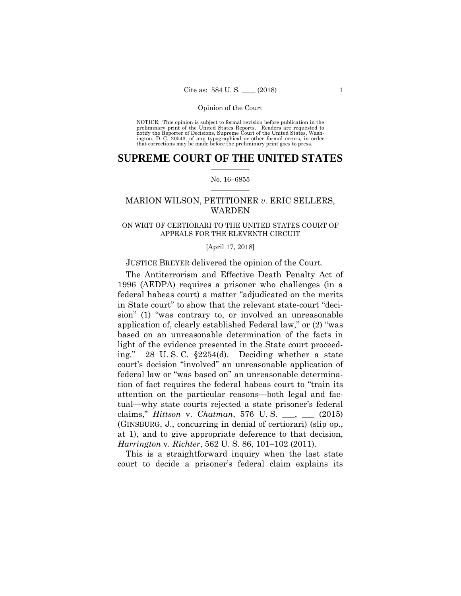NOTICE: This opinion is subject to formal revision before publication in the preliminary print of the United States Reports. Readers are requested to notify the Reporter of Decisions, Supreme Court of the United States, Washington, D. C. 20543, of any typographical or other formal errors, in order that corrections may be made before the preliminary print goes to press.

# **SUPREME COURT OF THE UNITED STATES**  $\frac{1}{2}$  , where  $\frac{1}{2}$

### No. 16–6855  $\frac{1}{2}$  , where  $\frac{1}{2}$

# MARION WILSON, PETITIONER *v.* ERIC SELLERS, WARDEN

# ON WRIT OF CERTIORARI TO THE UNITED STATES COURT OF APPEALS FOR THE ELEVENTH CIRCUIT

### [April 17, 2018]

# JUSTICE BREYER delivered the opinion of the Court.

The Antiterrorism and Effective Death Penalty Act of 1996 (AEDPA) requires a prisoner who challenges (in a federal habeas court) a matter "adjudicated on the merits in State court" to show that the relevant state-court "decision" (1) "was contrary to, or involved an unreasonable application of, clearly established Federal law," or (2) "was based on an unreasonable determination of the facts in light of the evidence presented in the State court proceeding." 28 U. S. C. §2254(d). Deciding whether a state court's decision "involved" an unreasonable application of federal law or "was based on" an unreasonable determination of fact requires the federal habeas court to "train its attention on the particular reasons—both legal and factual—why state courts rejected a state prisoner's federal claims," *Hittson* v. *Chatman*, 576 U. S. \_\_\_, \_\_\_ (2015) (GINSBURG, J., concurring in denial of certiorari) (slip op., at 1), and to give appropriate deference to that decision, *Harrington* v. *Richter*, 562 U. S. 86, 101–102 (2011).

This is a straightforward inquiry when the last state court to decide a prisoner's federal claim explains its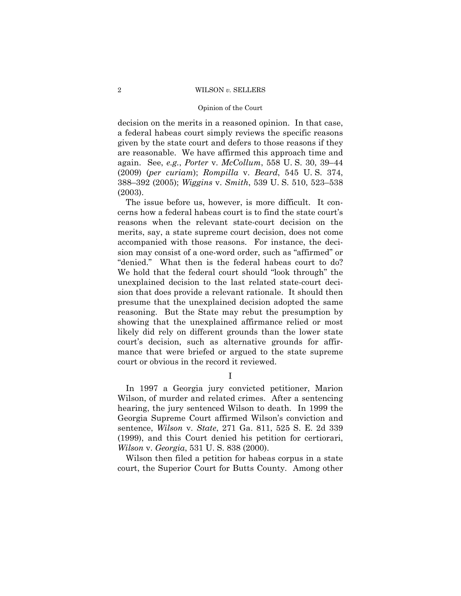#### Opinion of the Court

decision on the merits in a reasoned opinion. In that case, a federal habeas court simply reviews the specific reasons given by the state court and defers to those reasons if they are reasonable. We have affirmed this approach time and again. See, *e.g.*, *Porter* v. *McCollum*, 558 U. S. 30, 39–44 (2009) (*per curiam*); *Rompilla* v. *Beard*, 545 U. S. 374, 388–392 (2005); *Wiggins* v. *Smith*, 539 U. S. 510, 523–538 (2003).

The issue before us, however, is more difficult. It concerns how a federal habeas court is to find the state court's reasons when the relevant state-court decision on the merits, say, a state supreme court decision, does not come accompanied with those reasons. For instance, the decision may consist of a one-word order, such as "affirmed" or "denied." What then is the federal habeas court to do? We hold that the federal court should "look through" the unexplained decision to the last related state-court decision that does provide a relevant rationale. It should then presume that the unexplained decision adopted the same reasoning. But the State may rebut the presumption by showing that the unexplained affirmance relied or most likely did rely on different grounds than the lower state court's decision, such as alternative grounds for affirmance that were briefed or argued to the state supreme court or obvious in the record it reviewed.

I

In 1997 a Georgia jury convicted petitioner, Marion Wilson, of murder and related crimes. After a sentencing hearing, the jury sentenced Wilson to death. In 1999 the Georgia Supreme Court affirmed Wilson's conviction and sentence, *Wilson* v. *State*, 271 Ga. 811, 525 S. E. 2d 339 (1999), and this Court denied his petition for certiorari, *Wilson* v. *Georgia*, 531 U. S. 838 (2000).

Wilson then filed a petition for habeas corpus in a state court, the Superior Court for Butts County. Among other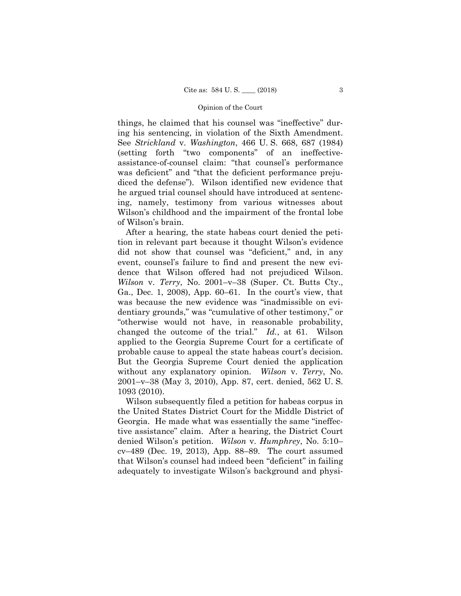things, he claimed that his counsel was "ineffective" during his sentencing, in violation of the Sixth Amendment. See *Strickland* v. *Washington*, 466 U. S. 668, 687 (1984) (setting forth "two components" of an ineffectiveassistance-of-counsel claim: "that counsel's performance was deficient" and "that the deficient performance prejudiced the defense"). Wilson identified new evidence that he argued trial counsel should have introduced at sentencing, namely, testimony from various witnesses about Wilson's childhood and the impairment of the frontal lobe of Wilson's brain.

After a hearing, the state habeas court denied the petition in relevant part because it thought Wilson's evidence did not show that counsel was "deficient," and, in any event, counsel's failure to find and present the new evidence that Wilson offered had not prejudiced Wilson. *Wilson* v. *Terry*, No. 2001–v–38 (Super. Ct. Butts Cty., Ga., Dec. 1, 2008), App. 60–61. In the court's view, that was because the new evidence was "inadmissible on evidentiary grounds," was "cumulative of other testimony," or "otherwise would not have, in reasonable probability, changed the outcome of the trial." *Id.*, at 61. Wilson applied to the Georgia Supreme Court for a certificate of probable cause to appeal the state habeas court's decision. But the Georgia Supreme Court denied the application without any explanatory opinion. *Wilson* v. *Terry*, No. 2001–v–38 (May 3, 2010), App. 87, cert. denied, 562 U. S. 1093 (2010).

Wilson subsequently filed a petition for habeas corpus in the United States District Court for the Middle District of Georgia. He made what was essentially the same "ineffective assistance" claim. After a hearing, the District Court denied Wilson's petition. *Wilson* v. *Humphrey*, No. 5:10– cv–489 (Dec. 19, 2013), App. 88–89. The court assumed that Wilson's counsel had indeed been "deficient" in failing adequately to investigate Wilson's background and physi-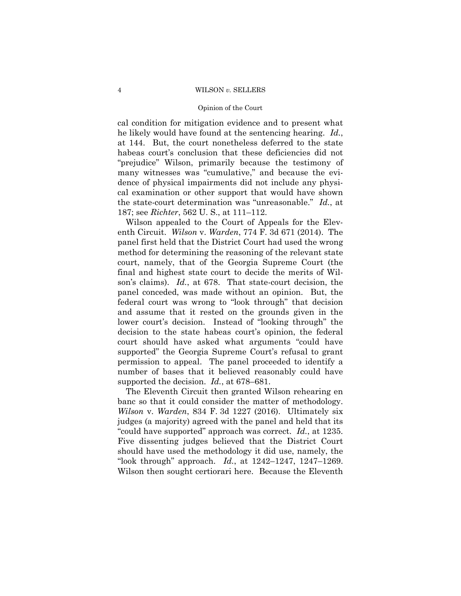### Opinion of the Court

cal condition for mitigation evidence and to present what he likely would have found at the sentencing hearing. *Id.*, at 144. But, the court nonetheless deferred to the state habeas court's conclusion that these deficiencies did not "prejudice" Wilson, primarily because the testimony of many witnesses was "cumulative," and because the evidence of physical impairments did not include any physical examination or other support that would have shown the state-court determination was "unreasonable." *Id.*, at 187; see *Richter*, 562 U. S., at 111–112.

Wilson appealed to the Court of Appeals for the Eleventh Circuit. *Wilson* v. *Warden*, 774 F. 3d 671 (2014). The panel first held that the District Court had used the wrong method for determining the reasoning of the relevant state court, namely, that of the Georgia Supreme Court (the final and highest state court to decide the merits of Wilson's claims). *Id.*, at 678. That state-court decision, the panel conceded, was made without an opinion. But, the federal court was wrong to "look through" that decision and assume that it rested on the grounds given in the lower court's decision. Instead of "looking through" the decision to the state habeas court's opinion, the federal court should have asked what arguments "could have supported" the Georgia Supreme Court's refusal to grant permission to appeal. The panel proceeded to identify a number of bases that it believed reasonably could have supported the decision. *Id.*, at 678–681.

The Eleventh Circuit then granted Wilson rehearing en banc so that it could consider the matter of methodology. *Wilson* v. *Warden*, 834 F. 3d 1227 (2016). Ultimately six judges (a majority) agreed with the panel and held that its "could have supported" approach was correct. *Id.*, at 1235. Five dissenting judges believed that the District Court should have used the methodology it did use, namely, the "look through" approach. *Id.*, at 1242–1247, 1247–1269. Wilson then sought certiorari here. Because the Eleventh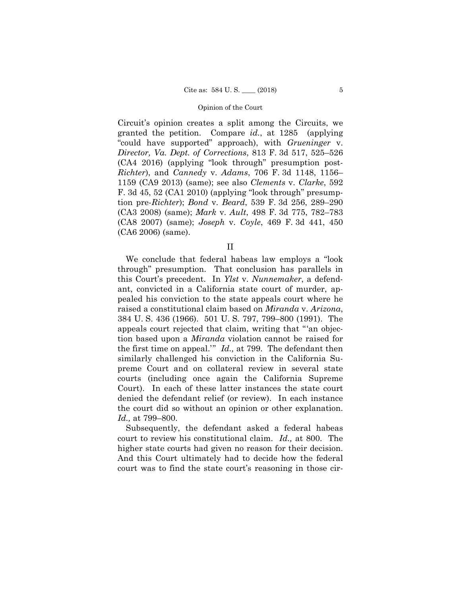Circuit's opinion creates a split among the Circuits, we granted the petition. Compare *id.*, at 1285 (applying "could have supported" approach), with *Grueninger* v. *Director, Va. Dept. of Corrections*, 813 F. 3d 517, 525–526 (CA4 2016) (applying "look through" presumption post-*Richter*), and *Cannedy* v. *Adams*, 706 F. 3d 1148, 1156– 1159 (CA9 2013) (same); see also *Clements* v. *Clarke*, 592 F. 3d 45, 52 (CA1 2010) (applying "look through" presumption pre-*Richter*); *Bond* v. *Beard*, 539 F. 3d 256, 289–290 (CA3 2008) (same); *Mark* v. *Ault*, 498 F. 3d 775, 782–783 (CA8 2007) (same); *Joseph* v. *Coyle*, 469 F. 3d 441, 450 (CA6 2006) (same).

II

We conclude that federal habeas law employs a "look through" presumption. That conclusion has parallels in this Court's precedent. In *Ylst* v. *Nunnemaker*, a defendant, convicted in a California state court of murder, appealed his conviction to the state appeals court where he raised a constitutional claim based on *Miranda* v. *Arizona*, 384 U. S. 436 (1966). 501 U. S. 797, 799–800 (1991). The appeals court rejected that claim, writing that "'an objection based upon a *Miranda* violation cannot be raised for the first time on appeal.'" *Id.,* at 799. The defendant then similarly challenged his conviction in the California Supreme Court and on collateral review in several state courts (including once again the California Supreme Court). In each of these latter instances the state court denied the defendant relief (or review). In each instance the court did so without an opinion or other explanation. *Id.,* at 799–800.

Subsequently, the defendant asked a federal habeas court to review his constitutional claim. *Id.,* at 800. The higher state courts had given no reason for their decision. And this Court ultimately had to decide how the federal court was to find the state court's reasoning in those cir-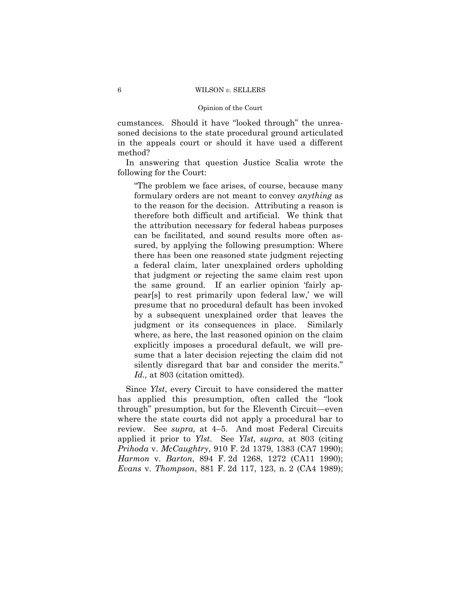# Opinion of the Court

cumstances. Should it have "looked through" the unreasoned decisions to the state procedural ground articulated in the appeals court or should it have used a different method?

In answering that question Justice Scalia wrote the following for the Court:

"The problem we face arises, of course, because many formulary orders are not meant to convey *anything* as to the reason for the decision. Attributing a reason is therefore both difficult and artificial. We think that the attribution necessary for federal habeas purposes can be facilitated, and sound results more often assured, by applying the following presumption: Where there has been one reasoned state judgment rejecting a federal claim, later unexplained orders upholding that judgment or rejecting the same claim rest upon the same ground. If an earlier opinion 'fairly appear[s] to rest primarily upon federal law,' we will presume that no procedural default has been invoked by a subsequent unexplained order that leaves the judgment or its consequences in place. Similarly where, as here, the last reasoned opinion on the claim explicitly imposes a procedural default, we will presume that a later decision rejecting the claim did not silently disregard that bar and consider the merits." *Id.,* at 803 (citation omitted).

Since *Ylst*, every Circuit to have considered the matter has applied this presumption, often called the "look through" presumption, but for the Eleventh Circuit—even where the state courts did not apply a procedural bar to review. See *supra,* at 4–5. And most Federal Circuits applied it prior to *Ylst*. See *Ylst*, *supra*, at 803 (citing *Prihoda* v. *McCaughtry*, 910 F. 2d 1379, 1383 (CA7 1990); *Harmon* v. *Barton*, 894 F. 2d 1268, 1272 (CA11 1990); *Evans* v. *Thompson*, 881 F. 2d 117, 123, n. 2 (CA4 1989);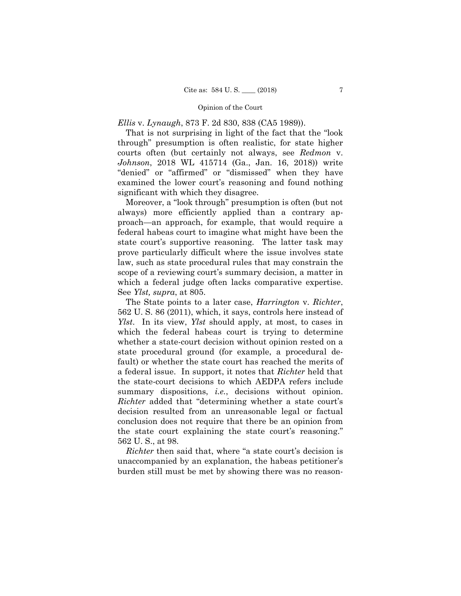*Ellis* v. *Lynaugh*, 873 F. 2d 830, 838 (CA5 1989)).

That is not surprising in light of the fact that the "look through" presumption is often realistic, for state higher courts often (but certainly not always, see *Redmon* v. *Johnson*, 2018 WL 415714 (Ga., Jan. 16, 2018)) write "denied" or "affirmed" or "dismissed" when they have examined the lower court's reasoning and found nothing significant with which they disagree.

Moreover, a "look through" presumption is often (but not always) more efficiently applied than a contrary approach—an approach, for example, that would require a federal habeas court to imagine what might have been the state court's supportive reasoning. The latter task may prove particularly difficult where the issue involves state law, such as state procedural rules that may constrain the scope of a reviewing court's summary decision, a matter in which a federal judge often lacks comparative expertise. See *Ylst, supra*, at 805.

The State points to a later case, *Harrington* v. *Richter*, 562 U. S. 86 (2011), which, it says, controls here instead of *Ylst*. In its view, *Ylst* should apply, at most, to cases in which the federal habeas court is trying to determine whether a state-court decision without opinion rested on a state procedural ground (for example, a procedural default) or whether the state court has reached the merits of a federal issue. In support, it notes that *Richter* held that the state-court decisions to which AEDPA refers include summary dispositions, *i.e.*, decisions without opinion. *Richter* added that "determining whether a state court's decision resulted from an unreasonable legal or factual conclusion does not require that there be an opinion from the state court explaining the state court's reasoning." 562 U. S., at 98.

*Richter* then said that, where "a state court's decision is unaccompanied by an explanation, the habeas petitioner's burden still must be met by showing there was no reason-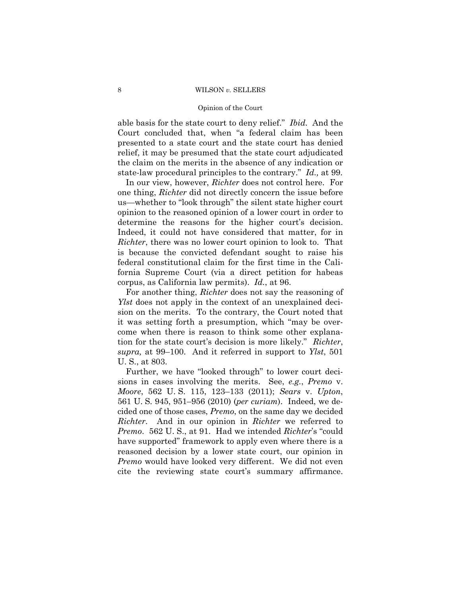### Opinion of the Court

able basis for the state court to deny relief." *Ibid.* And the Court concluded that, when "a federal claim has been presented to a state court and the state court has denied relief, it may be presumed that the state court adjudicated the claim on the merits in the absence of any indication or state-law procedural principles to the contrary." *Id.,* at 99.

In our view, however, *Richter* does not control here. For one thing, *Richter* did not directly concern the issue before us—whether to "look through" the silent state higher court opinion to the reasoned opinion of a lower court in order to determine the reasons for the higher court's decision. Indeed, it could not have considered that matter, for in *Richter*, there was no lower court opinion to look to. That is because the convicted defendant sought to raise his federal constitutional claim for the first time in the California Supreme Court (via a direct petition for habeas corpus, as California law permits). *Id.*, at 96.

For another thing, *Richter* does not say the reasoning of *Ylst* does not apply in the context of an unexplained decision on the merits. To the contrary, the Court noted that it was setting forth a presumption, which "may be overcome when there is reason to think some other explanation for the state court's decision is more likely." *Richter*, *supra,* at 99–100. And it referred in support to *Ylst*, 501 U. S., at 803.

Further, we have "looked through" to lower court decisions in cases involving the merits. See, *e.g.*, *Premo* v. *Moore*, 562 U. S. 115, 123–133 (2011); *Sears* v. *Upton*, 561 U. S. 945, 951–956 (2010) (*per curiam*). Indeed, we decided one of those cases, *Premo*, on the same day we decided *Richter*. And in our opinion in *Richter* we referred to *Premo*. 562 U. S., at 91. Had we intended *Richter*'s "could have supported" framework to apply even where there is a reasoned decision by a lower state court, our opinion in *Premo* would have looked very different. We did not even cite the reviewing state court's summary affirmance.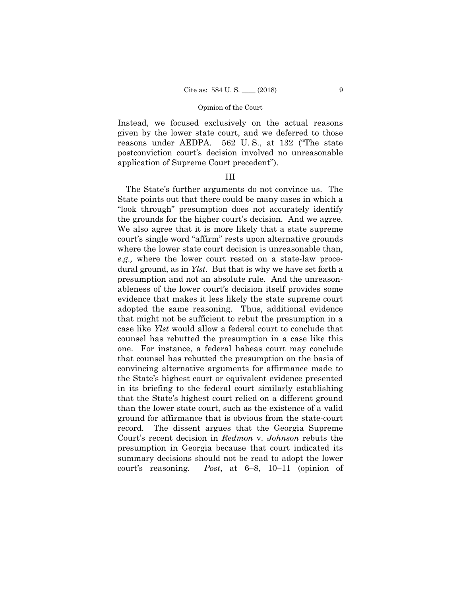Instead, we focused exclusively on the actual reasons given by the lower state court, and we deferred to those reasons under AEDPA. 562 U. S., at 132 ("The state postconviction court's decision involved no unreasonable application of Supreme Court precedent").

# III

The State's further arguments do not convince us. The State points out that there could be many cases in which a "look through" presumption does not accurately identify the grounds for the higher court's decision. And we agree. We also agree that it is more likely that a state supreme court's single word "affirm" rests upon alternative grounds where the lower state court decision is unreasonable than, *e.g.,* where the lower court rested on a state-law procedural ground, as in *Ylst*. But that is why we have set forth a presumption and not an absolute rule. And the unreasonableness of the lower court's decision itself provides some evidence that makes it less likely the state supreme court adopted the same reasoning. Thus, additional evidence that might not be sufficient to rebut the presumption in a case like *Ylst* would allow a federal court to conclude that counsel has rebutted the presumption in a case like this one. For instance, a federal habeas court may conclude that counsel has rebutted the presumption on the basis of convincing alternative arguments for affirmance made to the State's highest court or equivalent evidence presented in its briefing to the federal court similarly establishing that the State's highest court relied on a different ground than the lower state court, such as the existence of a valid ground for affirmance that is obvious from the state-court record. The dissent argues that the Georgia Supreme Court's recent decision in *Redmon* v. *Johnson* rebuts the presumption in Georgia because that court indicated its summary decisions should not be read to adopt the lower court's reasoning. *Post*, at 6–8, 10–11 (opinion of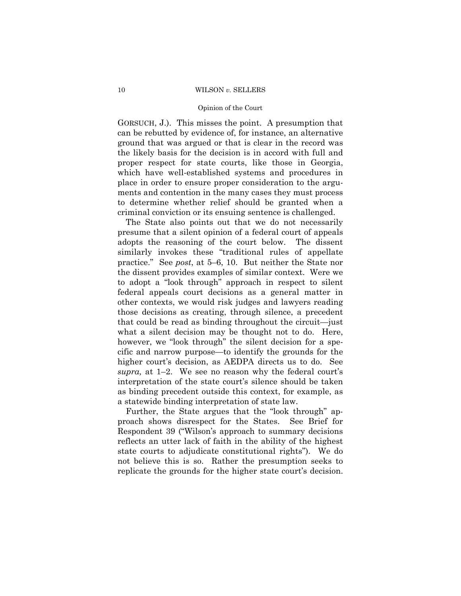### Opinion of the Court

GORSUCH, J.). This misses the point. A presumption that can be rebutted by evidence of, for instance, an alternative ground that was argued or that is clear in the record was the likely basis for the decision is in accord with full and proper respect for state courts, like those in Georgia, which have well-established systems and procedures in place in order to ensure proper consideration to the arguments and contention in the many cases they must process to determine whether relief should be granted when a criminal conviction or its ensuing sentence is challenged.

The State also points out that we do not necessarily presume that a silent opinion of a federal court of appeals adopts the reasoning of the court below. The dissent similarly invokes these "traditional rules of appellate practice." See *post*, at 5–6, 10. But neither the State nor the dissent provides examples of similar context. Were we to adopt a "look through" approach in respect to silent federal appeals court decisions as a general matter in other contexts, we would risk judges and lawyers reading those decisions as creating, through silence, a precedent that could be read as binding throughout the circuit—just what a silent decision may be thought not to do. Here, however, we "look through" the silent decision for a specific and narrow purpose—to identify the grounds for the higher court's decision, as AEDPA directs us to do. See *supra,* at 1–2. We see no reason why the federal court's interpretation of the state court's silence should be taken as binding precedent outside this context, for example, as a statewide binding interpretation of state law.

Further, the State argues that the "look through" approach shows disrespect for the States. See Brief for Respondent 39 ("Wilson's approach to summary decisions reflects an utter lack of faith in the ability of the highest state courts to adjudicate constitutional rights"). We do not believe this is so. Rather the presumption seeks to replicate the grounds for the higher state court's decision.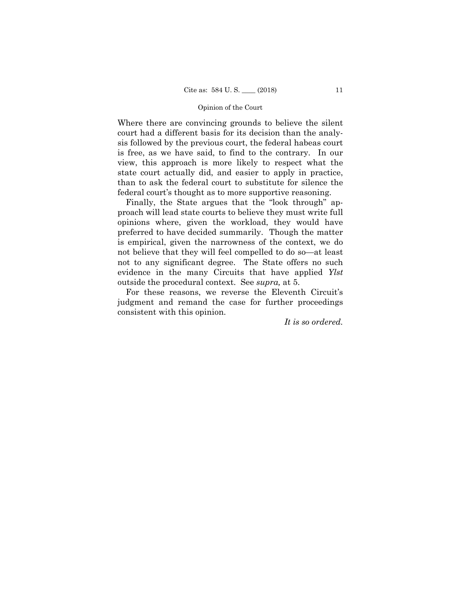Where there are convincing grounds to believe the silent court had a different basis for its decision than the analysis followed by the previous court, the federal habeas court is free, as we have said, to find to the contrary. In our view, this approach is more likely to respect what the state court actually did, and easier to apply in practice, than to ask the federal court to substitute for silence the federal court's thought as to more supportive reasoning.

Finally, the State argues that the "look through" approach will lead state courts to believe they must write full opinions where, given the workload, they would have preferred to have decided summarily. Though the matter is empirical, given the narrowness of the context, we do not believe that they will feel compelled to do so—at least not to any significant degree. The State offers no such evidence in the many Circuits that have applied *Ylst* outside the procedural context. See *supra,* at 5.

For these reasons, we reverse the Eleventh Circuit's judgment and remand the case for further proceedings consistent with this opinion.

*It is so ordered.*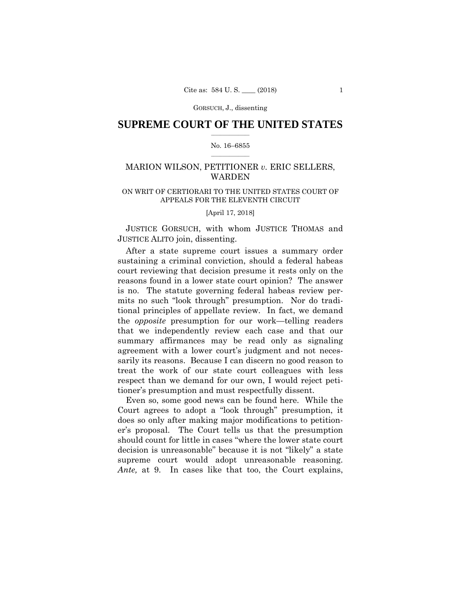# **SUPREME COURT OF THE UNITED STATES**  $\frac{1}{2}$  , where  $\frac{1}{2}$

### No. 16–6855  $\frac{1}{2}$  , where  $\frac{1}{2}$

# MARION WILSON, PETITIONER *v.* ERIC SELLERS, WARDEN

# ON WRIT OF CERTIORARI TO THE UNITED STATES COURT OF APPEALS FOR THE ELEVENTH CIRCUIT

[April 17, 2018]

 JUSTICE GORSUCH, with whom JUSTICE THOMAS and JUSTICE ALITO join, dissenting.

After a state supreme court issues a summary order sustaining a criminal conviction, should a federal habeas court reviewing that decision presume it rests only on the reasons found in a lower state court opinion? The answer is no. The statute governing federal habeas review permits no such "look through" presumption. Nor do traditional principles of appellate review. In fact, we demand the *opposite* presumption for our work—telling readers that we independently review each case and that our summary affirmances may be read only as signaling agreement with a lower court's judgment and not necessarily its reasons. Because I can discern no good reason to treat the work of our state court colleagues with less respect than we demand for our own, I would reject petitioner's presumption and must respectfully dissent.

Even so, some good news can be found here. While the Court agrees to adopt a "look through" presumption, it does so only after making major modifications to petitioner's proposal. The Court tells us that the presumption should count for little in cases "where the lower state court decision is unreasonable" because it is not "likely" a state supreme court would adopt unreasonable reasoning. *Ante,* at 9. In cases like that too, the Court explains,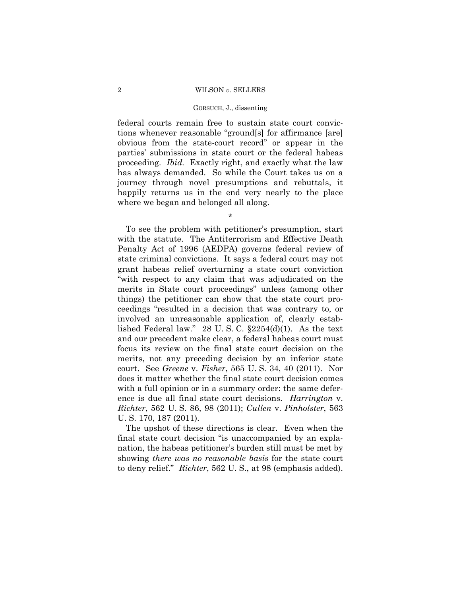#### GORSUCH, J., dissenting

federal courts remain free to sustain state court convictions whenever reasonable "ground[s] for affirmance [are] obvious from the state-court record" or appear in the parties' submissions in state court or the federal habeas proceeding. *Ibid.* Exactly right, and exactly what the law has always demanded. So while the Court takes us on a journey through novel presumptions and rebuttals, it happily returns us in the end very nearly to the place where we began and belonged all along.

\*

To see the problem with petitioner's presumption, start with the statute. The Antiterrorism and Effective Death Penalty Act of 1996 (AEDPA) governs federal review of state criminal convictions. It says a federal court may not grant habeas relief overturning a state court conviction "with respect to any claim that was adjudicated on the merits in State court proceedings" unless (among other things) the petitioner can show that the state court proceedings "resulted in a decision that was contrary to, or involved an unreasonable application of, clearly established Federal law." 28 U.S.C.  $\S2254(d)(1)$ . As the text and our precedent make clear, a federal habeas court must focus its review on the final state court decision on the merits, not any preceding decision by an inferior state court. See *Greene* v. *Fisher*, 565 U. S. 34, 40 (2011). Nor does it matter whether the final state court decision comes with a full opinion or in a summary order: the same deference is due all final state court decisions. *Harrington* v. *Richter*, 562 U. S. 86, 98 (2011); *Cullen* v. *Pinholster*, 563 U. S. 170, 187 (2011).

The upshot of these directions is clear. Even when the final state court decision "is unaccompanied by an explanation, the habeas petitioner's burden still must be met by showing *there was no reasonable basis* for the state court to deny relief." *Richter*, 562 U. S., at 98 (emphasis added).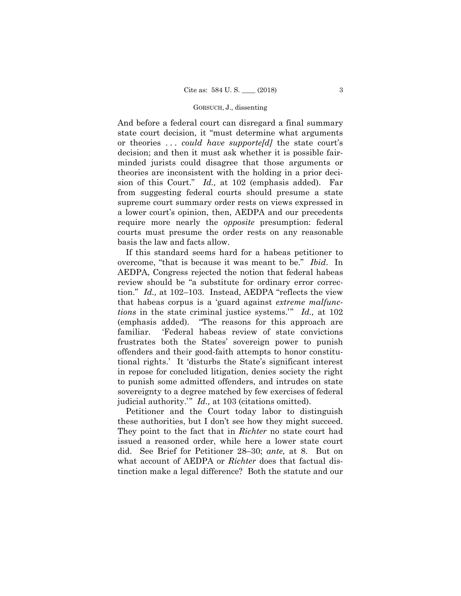And before a federal court can disregard a final summary state court decision, it "must determine what arguments or theories . . . *could have supporte[d]* the state court's decision; and then it must ask whether it is possible fairminded jurists could disagree that those arguments or theories are inconsistent with the holding in a prior decision of this Court." *Id.,* at 102 (emphasis added). Far from suggesting federal courts should presume a state supreme court summary order rests on views expressed in a lower court's opinion, then, AEDPA and our precedents require more nearly the *opposite* presumption: federal courts must presume the order rests on any reasonable basis the law and facts allow.

If this standard seems hard for a habeas petitioner to overcome, "that is because it was meant to be." *Ibid*. In AEDPA, Congress rejected the notion that federal habeas review should be "a substitute for ordinary error correction." *Id.,* at 102–103. Instead, AEDPA "reflects the view that habeas corpus is a 'guard against *extreme malfunctions* in the state criminal justice systems.'" *Id.,* at 102 (emphasis added). "The reasons for this approach are familiar. 'Federal habeas review of state convictions frustrates both the States' sovereign power to punish offenders and their good-faith attempts to honor constitutional rights.' It 'disturbs the State's significant interest in repose for concluded litigation, denies society the right to punish some admitted offenders, and intrudes on state sovereignty to a degree matched by few exercises of federal judicial authority.'" *Id.,* at 103 (citations omitted).

Petitioner and the Court today labor to distinguish these authorities, but I don't see how they might succeed. They point to the fact that in *Richter* no state court had issued a reasoned order, while here a lower state court did. See Brief for Petitioner 28–30; *ante,* at 8. But on what account of AEDPA or *Richter* does that factual distinction make a legal difference? Both the statute and our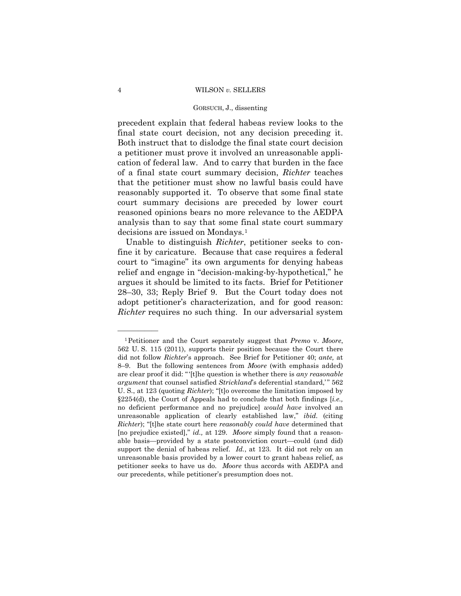### GORSUCH, J., dissenting

precedent explain that federal habeas review looks to the final state court decision, not any decision preceding it. Both instruct that to dislodge the final state court decision a petitioner must prove it involved an unreasonable application of federal law. And to carry that burden in the face of a final state court summary decision, *Richter* teaches that the petitioner must show no lawful basis could have reasonably supported it. To observe that some final state court summary decisions are preceded by lower court reasoned opinions bears no more relevance to the AEDPA analysis than to say that some final state court summary decisions are issued on Mondays.[1](#page-17-0)

Unable to distinguish *Richter*, petitioner seeks to confine it by caricature. Because that case requires a federal court to "imagine" its own arguments for denying habeas relief and engage in "decision-making-by-hypothetical," he argues it should be limited to its facts. Brief for Petitioner 28–30, 33; Reply Brief 9. But the Court today does not adopt petitioner's characterization, and for good reason: *Richter* requires no such thing. In our adversarial system

——————

<span id="page-17-0"></span><sup>1</sup>Petitioner and the Court separately suggest that *Premo* v. *Moore*, 562 U. S. 115 (2011), supports their position because the Court there did not follow *Richter*'s approach. See Brief for Petitioner 40; *ante,* at 8–9. But the following sentences from *Moore* (with emphasis added) are clear proof it did: "'[t]he question is whether there is *any reasonable argument* that counsel satisfied *Strickland*'s deferential standard,'" 562 U. S., at 123 (quoting *Richter*); "[t]o overcome the limitation imposed by §2254(d), the Court of Appeals had to conclude that both findings [*i.e.,* no deficient performance and no prejudice] *would have* involved an unreasonable application of clearly established law," *ibid.* (citing *Richter*); "[t]he state court here *reasonably could have* determined that [no prejudice existed]," *id.,* at 129. *Moore* simply found that a reasonable basis—provided by a state postconviction court—could (and did) support the denial of habeas relief. *Id.*, at 123. It did not rely on an unreasonable basis provided by a lower court to grant habeas relief, as petitioner seeks to have us do. *Moore* thus accords with AEDPA and our precedents, while petitioner's presumption does not.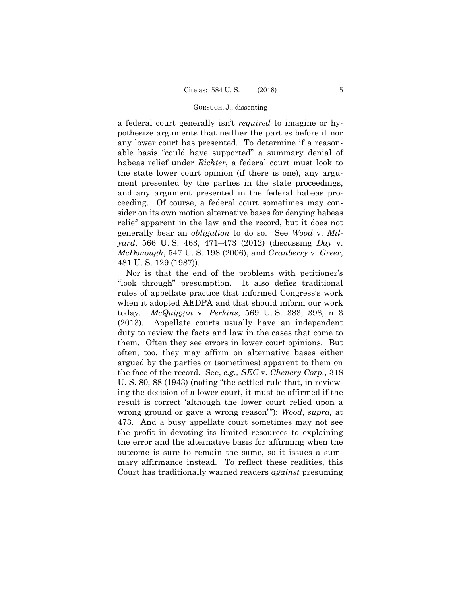a federal court generally isn't *required* to imagine or hypothesize arguments that neither the parties before it nor any lower court has presented. To determine if a reasonable basis "could have supported" a summary denial of habeas relief under *Richter*, a federal court must look to the state lower court opinion (if there is one), any argument presented by the parties in the state proceedings, and any argument presented in the federal habeas proceeding. Of course, a federal court sometimes may consider on its own motion alternative bases for denying habeas relief apparent in the law and the record, but it does not generally bear an *obligation* to do so. See *Wood* v. *Milyard*, 566 U. S. 463, 471–473 (2012) (discussing *Day* v. *McDonough*, 547 U. S. 198 (2006), and *Granberry* v. *Greer*, 481 U. S. 129 (1987)).

Nor is that the end of the problems with petitioner's "look through" presumption. It also defies traditional rules of appellate practice that informed Congress's work when it adopted AEDPA and that should inform our work today. *McQuiggin* v. *Perkins*, 569 U. S. 383, 398, n. 3 (2013). Appellate courts usually have an independent duty to review the facts and law in the cases that come to them. Often they see errors in lower court opinions. But often, too, they may affirm on alternative bases either argued by the parties or (sometimes) apparent to them on the face of the record. See, *e.g., SEC* v. *Chenery Corp.*, 318 U. S. 80, 88 (1943) (noting "the settled rule that, in reviewing the decision of a lower court, it must be affirmed if the result is correct 'although the lower court relied upon a wrong ground or gave a wrong reason'"); *Wood*, *supra,* at 473. And a busy appellate court sometimes may not see the profit in devoting its limited resources to explaining the error and the alternative basis for affirming when the outcome is sure to remain the same, so it issues a summary affirmance instead. To reflect these realities, this Court has traditionally warned readers *against* presuming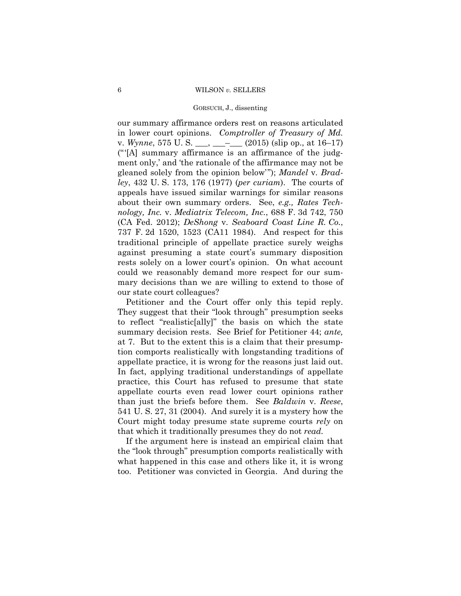#### GORSUCH, J., dissenting

our summary affirmance orders rest on reasons articulated in lower court opinions. *Comptroller of Treasury of Md.* v. *Wynne*, 575 U. S. \_\_\_, \_\_\_–\_\_\_ (2015) (slip op., at 16–17) ("'[A] summary affirmance is an affirmance of the judgment only,' and 'the rationale of the affirmance may not be gleaned solely from the opinion below'"); *Mandel* v. *Bradley*, 432 U. S. 173, 176 (1977) (*per curiam*). The courts of appeals have issued similar warnings for similar reasons about their own summary orders. See, *e.g., Rates Technology, Inc.* v. *Mediatrix Telecom, Inc.*, 688 F. 3d 742, 750 (CA Fed. 2012); *DeShong* v. *Seaboard Coast Line R. Co.*, 737 F. 2d 1520, 1523 (CA11 1984). And respect for this traditional principle of appellate practice surely weighs against presuming a state court's summary disposition rests solely on a lower court's opinion. On what account could we reasonably demand more respect for our summary decisions than we are willing to extend to those of our state court colleagues?

Petitioner and the Court offer only this tepid reply. They suggest that their "look through" presumption seeks to reflect "realistic[ally]" the basis on which the state summary decision rests. See Brief for Petitioner 44; *ante,* at 7. But to the extent this is a claim that their presumption comports realistically with longstanding traditions of appellate practice, it is wrong for the reasons just laid out. In fact, applying traditional understandings of appellate practice, this Court has refused to presume that state appellate courts even read lower court opinions rather than just the briefs before them. See *Baldwin* v. *Reese*, 541 U. S. 27, 31 (2004). And surely it is a mystery how the Court might today presume state supreme courts *rely* on that which it traditionally presumes they do not *read.*

If the argument here is instead an empirical claim that the "look through" presumption comports realistically with what happened in this case and others like it, it is wrong too. Petitioner was convicted in Georgia. And during the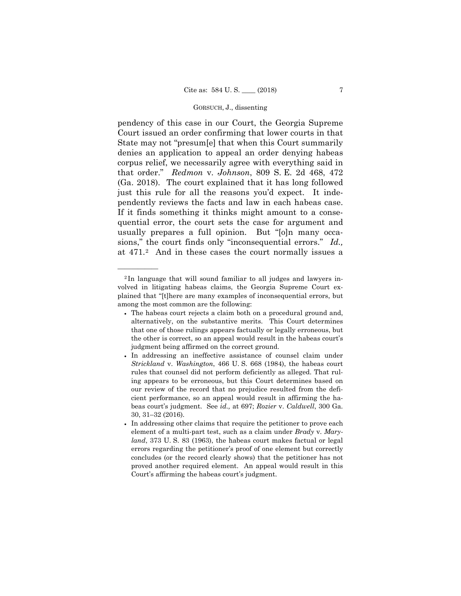pendency of this case in our Court, the Georgia Supreme Court issued an order confirming that lower courts in that State may not "presum[e] that when this Court summarily denies an application to appeal an order denying habeas corpus relief, we necessarily agree with everything said in that order." *Redmon* v. *Johnson*, 809 S. E. 2d 468, 472 (Ga. 2018). The court explained that it has long followed just this rule for all the reasons you'd expect. It independently reviews the facts and law in each habeas case. If it finds something it thinks might amount to a consequential error, the court sets the case for argument and usually prepares a full opinion. But "[o]n many occasions," the court finds only "inconsequential errors." *Id.,* at 471.[2](#page-20-0) And in these cases the court normally issues a

——————

<span id="page-20-0"></span><sup>2</sup> In language that will sound familiar to all judges and lawyers involved in litigating habeas claims, the Georgia Supreme Court explained that "[t]here are many examples of inconsequential errors, but among the most common are the following:

<sup>•</sup> The habeas court rejects a claim both on a procedural ground and, alternatively, on the substantive merits. This Court determines that one of those rulings appears factually or legally erroneous, but the other is correct, so an appeal would result in the habeas court's judgment being affirmed on the correct ground.

<sup>•</sup> In addressing an ineffective assistance of counsel claim under *Strickland* v. *Washington*, 466 U. S. 668 (1984), the habeas court rules that counsel did not perform deficiently as alleged. That ruling appears to be erroneous, but this Court determines based on our review of the record that no prejudice resulted from the deficient performance, so an appeal would result in affirming the habeas court's judgment. See *id.,* at 697; *Rozier* v. *Caldwell*, 300 Ga. 30, 31–32 (2016).

<sup>•</sup> In addressing other claims that require the petitioner to prove each element of a multi-part test, such as a claim under *Brady* v. *Maryland*, 373 U. S. 83 (1963), the habeas court makes factual or legal errors regarding the petitioner's proof of one element but correctly concludes (or the record clearly shows) that the petitioner has not proved another required element. An appeal would result in this Court's affirming the habeas court's judgment.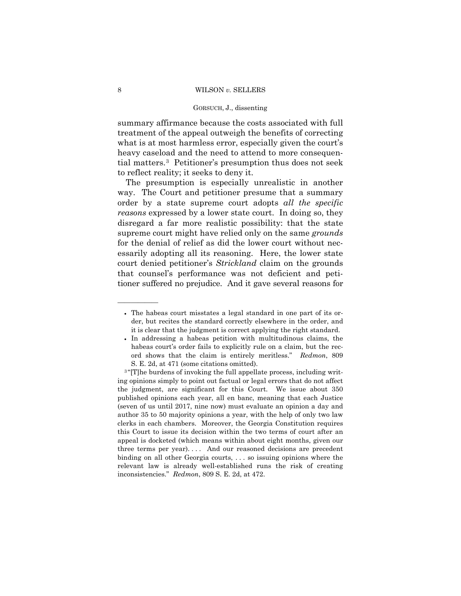summary affirmance because the costs associated with full treatment of the appeal outweigh the benefits of correcting what is at most harmless error, especially given the court's heavy caseload and the need to attend to more consequential matters[.3](#page-21-0) Petitioner's presumption thus does not seek to reflect reality; it seeks to deny it.

The presumption is especially unrealistic in another way. The Court and petitioner presume that a summary order by a state supreme court adopts *all the specific reasons* expressed by a lower state court. In doing so, they disregard a far more realistic possibility: that the state supreme court might have relied only on the same *grounds* for the denial of relief as did the lower court without necessarily adopting all its reasoning. Here, the lower state court denied petitioner's *Strickland* claim on the grounds that counsel's performance was not deficient and petitioner suffered no prejudice. And it gave several reasons for

——————

<sup>•</sup> The habeas court misstates a legal standard in one part of its order, but recites the standard correctly elsewhere in the order, and it is clear that the judgment is correct applying the right standard.

<sup>•</sup> In addressing a habeas petition with multitudinous claims, the habeas court's order fails to explicitly rule on a claim, but the record shows that the claim is entirely meritless." *Redmon*, 809 S. E. 2d, at 471 (some citations omitted).

<span id="page-21-0"></span><sup>&</sup>lt;sup>3</sup>"[T]he burdens of invoking the full appellate process, including writing opinions simply to point out factual or legal errors that do not affect the judgment, are significant for this Court. We issue about 350 published opinions each year, all en banc, meaning that each Justice (seven of us until 2017, nine now) must evaluate an opinion a day and author 35 to 50 majority opinions a year, with the help of only two law clerks in each chambers. Moreover, the Georgia Constitution requires this Court to issue its decision within the two terms of court after an appeal is docketed (which means within about eight months, given our three terms per year). . . . And our reasoned decisions are precedent binding on all other Georgia courts, . . . so issuing opinions where the relevant law is already well-established runs the risk of creating inconsistencies." *Redmon*, 809 S. E. 2d, at 472.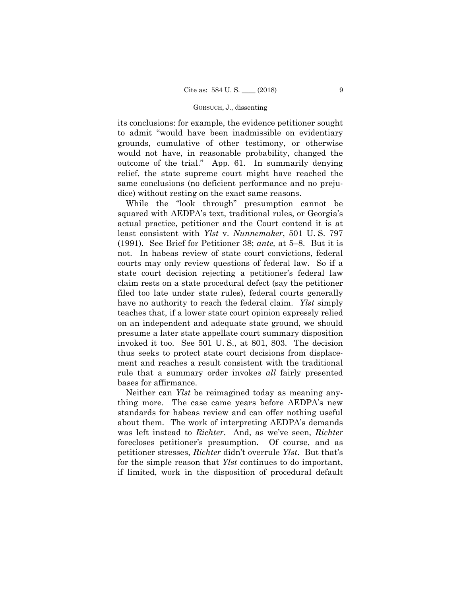its conclusions: for example, the evidence petitioner sought to admit "would have been inadmissible on evidentiary grounds, cumulative of other testimony, or otherwise would not have, in reasonable probability, changed the outcome of the trial." App. 61. In summarily denying relief, the state supreme court might have reached the same conclusions (no deficient performance and no prejudice) without resting on the exact same reasons.

While the "look through" presumption cannot be squared with AEDPA's text, traditional rules, or Georgia's actual practice, petitioner and the Court contend it is at least consistent with *Ylst* v. *Nunnemaker*, 501 U. S. 797 (1991). See Brief for Petitioner 38; *ante,* at 5–8. But it is not. In habeas review of state court convictions, federal courts may only review questions of federal law. So if a state court decision rejecting a petitioner's federal law claim rests on a state procedural defect (say the petitioner filed too late under state rules), federal courts generally have no authority to reach the federal claim. *Ylst* simply teaches that, if a lower state court opinion expressly relied on an independent and adequate state ground, we should presume a later state appellate court summary disposition invoked it too. See 501 U. S., at 801, 803. The decision thus seeks to protect state court decisions from displacement and reaches a result consistent with the traditional rule that a summary order invokes *all* fairly presented bases for affirmance.

Neither can *Ylst* be reimagined today as meaning anything more. The case came years before AEDPA's new standards for habeas review and can offer nothing useful about them. The work of interpreting AEDPA's demands was left instead to *Richter*. And, as we've seen, *Richter* forecloses petitioner's presumption. Of course, and as petitioner stresses, *Richter* didn't overrule *Ylst*. But that's for the simple reason that *Ylst* continues to do important, if limited, work in the disposition of procedural default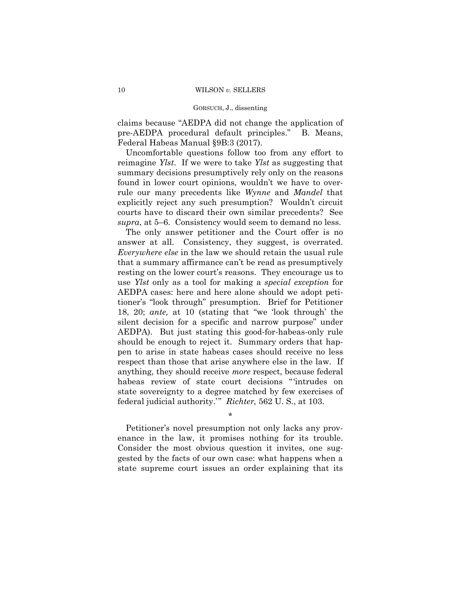claims because "AEDPA did not change the application of pre-AEDPA procedural default principles." B. Means, Federal Habeas Manual §9B:3 (2017).

Uncomfortable questions follow too from any effort to reimagine *Ylst*. If we were to take *Ylst* as suggesting that summary decisions presumptively rely only on the reasons found in lower court opinions, wouldn't we have to overrule our many precedents like *Wynne* and *Mandel* that explicitly reject any such presumption? Wouldn't circuit courts have to discard their own similar precedents? See *supra*, at 5–6. Consistency would seem to demand no less.

The only answer petitioner and the Court offer is no answer at all. Consistency, they suggest, is overrated. *Everywhere else* in the law we should retain the usual rule that a summary affirmance can't be read as presumptively resting on the lower court's reasons. They encourage us to use *Ylst* only as a tool for making a *special exception* for AEDPA cases: here and here alone should we adopt petitioner's "look through" presumption. Brief for Petitioner 18, 20; *ante,* at 10 (stating that "we 'look through' the silent decision for a specific and narrow purpose" under AEDPA). But just stating this good-for-habeas-only rule should be enough to reject it. Summary orders that happen to arise in state habeas cases should receive no less respect than those that arise anywhere else in the law. If anything, they should receive *more* respect, because federal habeas review of state court decisions "'intrudes on state sovereignty to a degree matched by few exercises of federal judicial authority.'" *Richter,* 562 U. S., at 103.

\*

Petitioner's novel presumption not only lacks any provenance in the law, it promises nothing for its trouble. Consider the most obvious question it invites, one suggested by the facts of our own case: what happens when a state supreme court issues an order explaining that its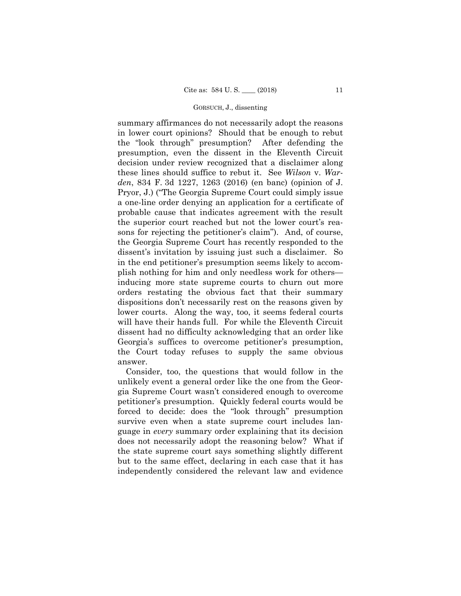summary affirmances do not necessarily adopt the reasons in lower court opinions? Should that be enough to rebut the "look through" presumption? After defending the presumption, even the dissent in the Eleventh Circuit decision under review recognized that a disclaimer along these lines should suffice to rebut it. See *Wilson* v. *Warden*, 834 F. 3d 1227, 1263 (2016) (en banc) (opinion of J. Pryor, J.) ("The Georgia Supreme Court could simply issue a one-line order denying an application for a certificate of probable cause that indicates agreement with the result the superior court reached but not the lower court's reasons for rejecting the petitioner's claim"). And, of course, the Georgia Supreme Court has recently responded to the dissent's invitation by issuing just such a disclaimer. So in the end petitioner's presumption seems likely to accomplish nothing for him and only needless work for others inducing more state supreme courts to churn out more orders restating the obvious fact that their summary dispositions don't necessarily rest on the reasons given by lower courts. Along the way, too, it seems federal courts will have their hands full. For while the Eleventh Circuit dissent had no difficulty acknowledging that an order like Georgia's suffices to overcome petitioner's presumption, the Court today refuses to supply the same obvious answer.

Consider, too, the questions that would follow in the unlikely event a general order like the one from the Georgia Supreme Court wasn't considered enough to overcome petitioner's presumption. Quickly federal courts would be forced to decide: does the "look through" presumption survive even when a state supreme court includes language in *every* summary order explaining that its decision does not necessarily adopt the reasoning below? What if the state supreme court says something slightly different but to the same effect, declaring in each case that it has independently considered the relevant law and evidence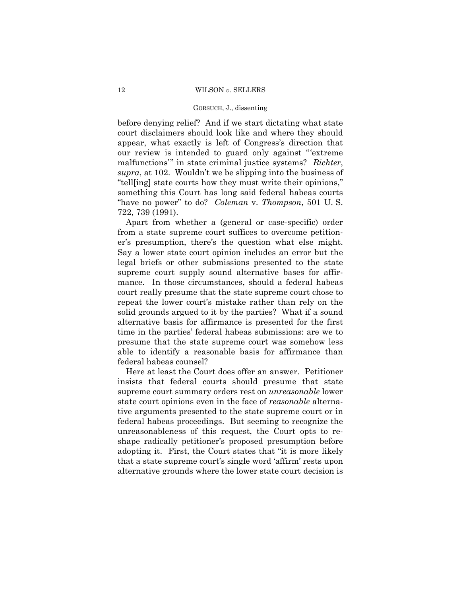before denying relief? And if we start dictating what state court disclaimers should look like and where they should appear, what exactly is left of Congress's direction that our review is intended to guard only against "'extreme malfunctions'" in state criminal justice systems? *Richter*, *supra*, at 102. Wouldn't we be slipping into the business of "tell[ing] state courts how they must write their opinions," something this Court has long said federal habeas courts "have no power" to do? *Coleman* v. *Thompson*, 501 U. S. 722, 739 (1991).

Apart from whether a (general or case-specific) order from a state supreme court suffices to overcome petitioner's presumption, there's the question what else might. Say a lower state court opinion includes an error but the legal briefs or other submissions presented to the state supreme court supply sound alternative bases for affirmance. In those circumstances, should a federal habeas court really presume that the state supreme court chose to repeat the lower court's mistake rather than rely on the solid grounds argued to it by the parties? What if a sound alternative basis for affirmance is presented for the first time in the parties' federal habeas submissions: are we to presume that the state supreme court was somehow less able to identify a reasonable basis for affirmance than federal habeas counsel?

Here at least the Court does offer an answer. Petitioner insists that federal courts should presume that state supreme court summary orders rest on *unreasonable* lower state court opinions even in the face of *reasonable* alternative arguments presented to the state supreme court or in federal habeas proceedings. But seeming to recognize the unreasonableness of this request, the Court opts to reshape radically petitioner's proposed presumption before adopting it. First, the Court states that "it is more likely that a state supreme court's single word 'affirm' rests upon alternative grounds where the lower state court decision is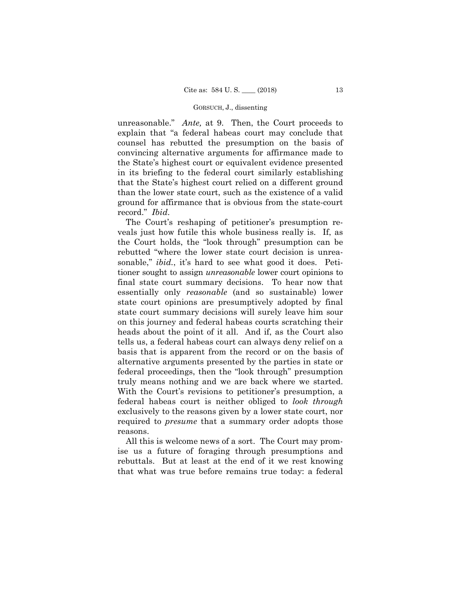unreasonable." *Ante,* at 9. Then, the Court proceeds to explain that "a federal habeas court may conclude that counsel has rebutted the presumption on the basis of convincing alternative arguments for affirmance made to the State's highest court or equivalent evidence presented in its briefing to the federal court similarly establishing that the State's highest court relied on a different ground than the lower state court, such as the existence of a valid ground for affirmance that is obvious from the state-court record." *Ibid*.

The Court's reshaping of petitioner's presumption reveals just how futile this whole business really is. If, as the Court holds, the "look through" presumption can be rebutted "where the lower state court decision is unreasonable," *ibid.*, it's hard to see what good it does. Petitioner sought to assign *unreasonable* lower court opinions to final state court summary decisions. To hear now that essentially only *reasonable* (and so sustainable) lower state court opinions are presumptively adopted by final state court summary decisions will surely leave him sour on this journey and federal habeas courts scratching their heads about the point of it all. And if, as the Court also tells us, a federal habeas court can always deny relief on a basis that is apparent from the record or on the basis of alternative arguments presented by the parties in state or federal proceedings, then the "look through" presumption truly means nothing and we are back where we started. With the Court's revisions to petitioner's presumption, a federal habeas court is neither obliged to *look through* exclusively to the reasons given by a lower state court, nor required to *presume* that a summary order adopts those reasons.

All this is welcome news of a sort. The Court may promise us a future of foraging through presumptions and rebuttals. But at least at the end of it we rest knowing that what was true before remains true today: a federal